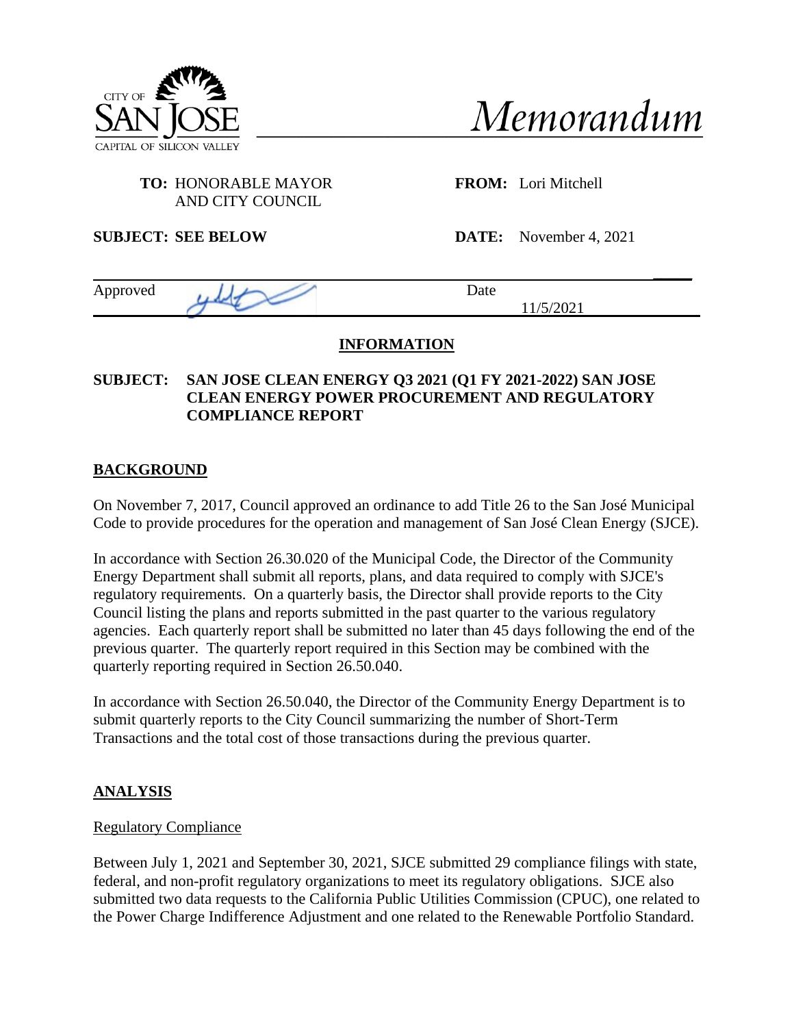



## **TO:** HONORABLE MAYOR **FROM:** Lori Mitchell AND CITY COUNCIL

**SUBJECT: SEE BELOW DATE:** November 4, 2021

 **\_\_\_\_\_**  Approved ,  $\bigcup$   $\bigcup$  Date 11/5/2021

# **INFORMATION**

#### **SUBJECT: SAN JOSE CLEAN ENERGY Q3 2021 (Q1 FY 2021-2022) SAN JOSE CLEAN ENERGY POWER PROCUREMENT AND REGULATORY COMPLIANCE REPORT**

## **BACKGROUND**

On November 7, 2017, Council approved an ordinance to add Title 26 to the San José Municipal Code to provide procedures for the operation and management of San José Clean Energy (SJCE).

In accordance with Section 26.30.020 of the Municipal Code, the Director of the Community Energy Department shall submit all reports, plans, and data required to comply with SJCE's regulatory requirements. On a quarterly basis, the Director shall provide reports to the City Council listing the plans and reports submitted in the past quarter to the various regulatory agencies. Each quarterly report shall be submitted no later than 45 days following the end of the previous quarter. The quarterly report required in this Section may be combined with the quarterly reporting required in Section 26.50.040.

In accordance with Section 26.50.040, the Director of the Community Energy Department is to submit quarterly reports to the City Council summarizing the number of Short-Term Transactions and the total cost of those transactions during the previous quarter.

## **ANALYSIS**

#### Regulatory Compliance

Between July 1, 2021 and September 30, 2021, SJCE submitted 29 compliance filings with state, federal, and non-profit regulatory organizations to meet its regulatory obligations. SJCE also submitted two data requests to the California Public Utilities Commission (CPUC), one related to the Power Charge Indifference Adjustment and one related to the Renewable Portfolio Standard.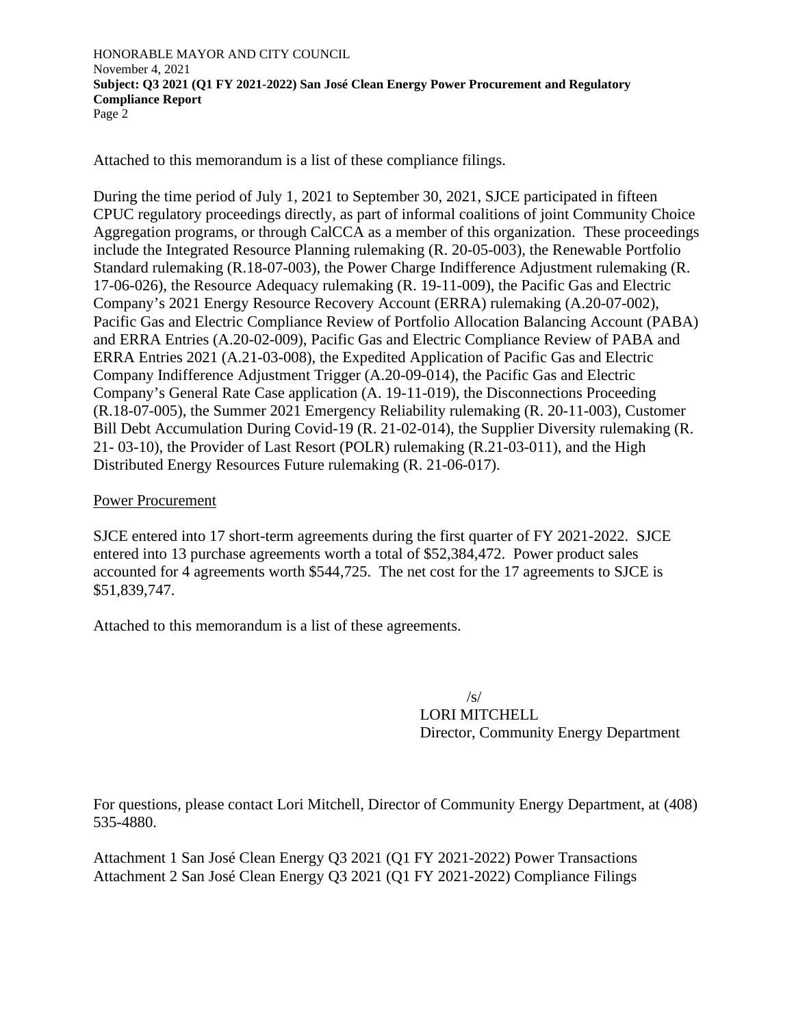HONORABLE MAYOR AND CITY COUNCIL November 4, 2021 **Subject: Q3 2021 (Q1 FY 2021-2022) San José Clean Energy Power Procurement and Regulatory Compliance Report**  Page 2

Attached to this memorandum is a list of these compliance filings.

During the time period of July 1, 2021 to September 30, 2021, SJCE participated in fifteen CPUC regulatory proceedings directly, as part of informal coalitions of joint Community Choice Aggregation programs, or through CalCCA as a member of this organization. These proceedings include the Integrated Resource Planning rulemaking (R. 20-05-003), the Renewable Portfolio Standard rulemaking (R.18-07-003), the Power Charge Indifference Adjustment rulemaking (R. 17-06-026), the Resource Adequacy rulemaking (R. 19-11-009), the Pacific Gas and Electric Company's 2021 Energy Resource Recovery Account (ERRA) rulemaking (A.20-07-002), Pacific Gas and Electric Compliance Review of Portfolio Allocation Balancing Account (PABA) and ERRA Entries (A.20-02-009), Pacific Gas and Electric Compliance Review of PABA and ERRA Entries 2021 (A.21-03-008), the Expedited Application of Pacific Gas and Electric Company Indifference Adjustment Trigger (A.20-09-014), the Pacific Gas and Electric Company's General Rate Case application (A. 19-11-019), the Disconnections Proceeding (R.18-07-005), the Summer 2021 Emergency Reliability rulemaking (R. 20-11-003), Customer Bill Debt Accumulation During Covid-19 (R. 21-02-014), the Supplier Diversity rulemaking (R. 21- 03-10), the Provider of Last Resort (POLR) rulemaking (R.21-03-011), and the High Distributed Energy Resources Future rulemaking (R. 21-06-017).

#### Power Procurement

SJCE entered into 17 short-term agreements during the first quarter of FY 2021-2022. SJCE entered into 13 purchase agreements worth a total of \$52,384,472. Power product sales accounted for 4 agreements worth \$544,725. The net cost for the 17 agreements to SJCE is \$51,839,747.

Attached to this memorandum is a list of these agreements.

 $\sqrt{s}$ 

LORI MITCHELL Director, Community Energy Department

For questions, please contact Lori Mitchell, Director of Community Energy Department, at (408) 535-4880.

Attachment 1 San José Clean Energy Q3 2021 (Q1 FY 2021-2022) Power Transactions Attachment 2 San José Clean Energy Q3 2021 (Q1 FY 2021-2022) Compliance Filings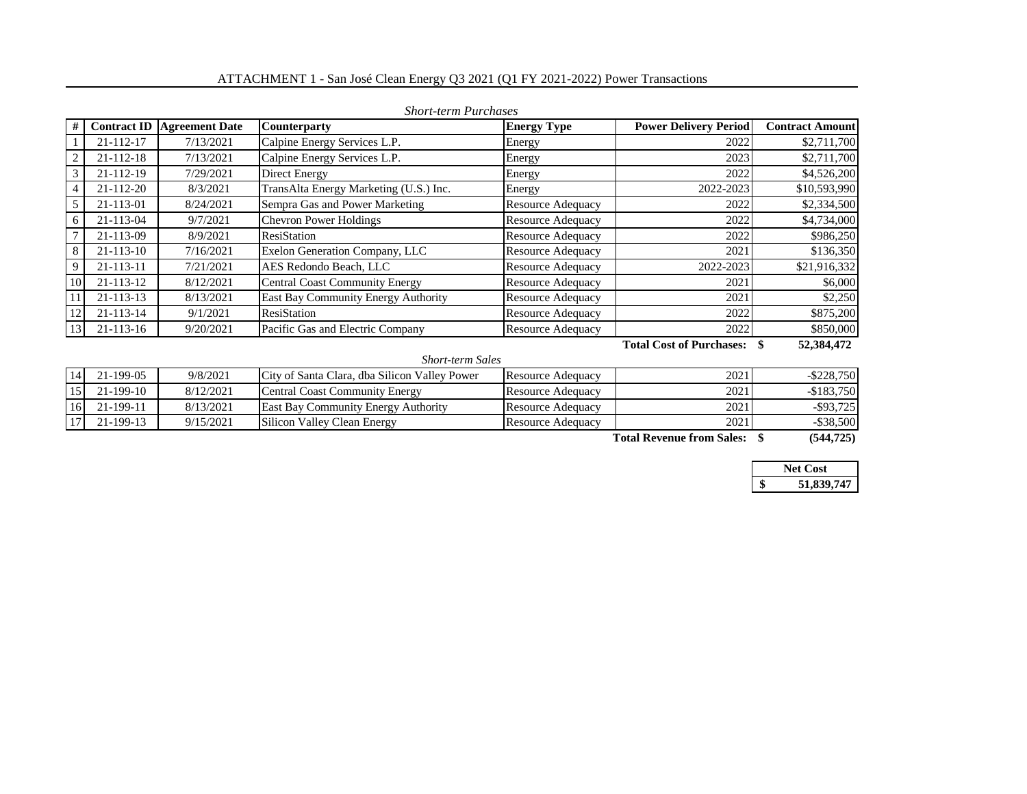|                 | <b>Short-term Purchases</b> |                                   |                                        |                          |                                 |                        |  |
|-----------------|-----------------------------|-----------------------------------|----------------------------------------|--------------------------|---------------------------------|------------------------|--|
|                 |                             | <b>Contract ID Agreement Date</b> | Counterparty                           | <b>Energy Type</b>       | <b>Power Delivery Period</b>    | <b>Contract Amount</b> |  |
|                 | 21-112-17                   | 7/13/2021                         | Calpine Energy Services L.P.           | Energy                   | 2022                            | \$2,711,700            |  |
|                 | $21 - 112 - 18$             | 7/13/2021                         | Calpine Energy Services L.P.           | Energy                   | 2023                            | \$2,711,700            |  |
|                 | 21-112-19                   | 7/29/2021                         | Direct Energy                          | Energy                   | 2022                            | \$4,526,200            |  |
|                 | $21 - 112 - 20$             | 8/3/2021                          | TransAlta Energy Marketing (U.S.) Inc. | Energy                   | 2022-2023                       | \$10,593,990           |  |
|                 | 21-113-01                   | 8/24/2021                         | Sempra Gas and Power Marketing         | <b>Resource Adequacy</b> | 2022                            | \$2,334,500            |  |
|                 | $21 - 113 - 04$             | 9/7/2021                          | <b>Chevron Power Holdings</b>          | <b>Resource Adequacy</b> | 2022                            | \$4,734,000            |  |
|                 | 21-113-09                   | 8/9/2021                          | ResiStation                            | <b>Resource Adequacy</b> | 2022                            | \$986,250              |  |
|                 | $21 - 113 - 10$             | 7/16/2021                         | Exelon Generation Company, LLC         | <b>Resource Adequacy</b> | 2021                            | \$136,350              |  |
|                 | 21-113-11                   | 7/21/2021                         | AES Redondo Beach, LLC                 | <b>Resource Adequacy</b> | 2022-2023                       | \$21,916,332           |  |
| 10 <sup>1</sup> | $21 - 113 - 12$             | 8/12/2021                         | <b>Central Coast Community Energy</b>  | <b>Resource Adequacy</b> | 2021                            | \$6,000                |  |
|                 | $21 - 113 - 13$             | 8/13/2021                         | East Bay Community Energy Authority    | <b>Resource Adequacy</b> | 2021                            | \$2,250                |  |
| 12              | $21 - 113 - 14$             | 9/1/2021                          | <b>ResiStation</b>                     | <b>Resource Adequacy</b> | 2022                            | \$875,200              |  |
| 13 <sup>1</sup> | $21 - 113 - 16$             | 9/20/2021                         | Pacific Gas and Electric Company       | <b>Resource Adequacy</b> | 2022                            | \$850,000              |  |
|                 |                             |                                   |                                        |                          | <b>Total Cost of Purchases:</b> | 52,384,472             |  |

*Short-term Sales*

| 21-199-05   | 9/8/2021  | City of Santa Clara, dba Silicon Valley Power | <b>Resource Adequacy</b> | 2021 | $-$ \$228.750 |
|-------------|-----------|-----------------------------------------------|--------------------------|------|---------------|
| $21-199-10$ | 8/12/2021 | Central Coast Community Energy                | Resource Adequacy        | 2021 | $-$183,750$   |
| 21-199-11   | 8/13/2021 | <b>East Bay Community Energy Authority</b>    | Resource Adequacy        | 2021 | $-$ \$93,725  |
| 21-199-13   | 9/15/2021 | Silicon Valley Clean Energy                   | Resource Adequacy        | 2021 | $-$ \$38,500  |

**Total Revenue from Sales: \$ (544,725)**

| <b>Net Cost</b>  |
|------------------|
| \$<br>51,839,747 |